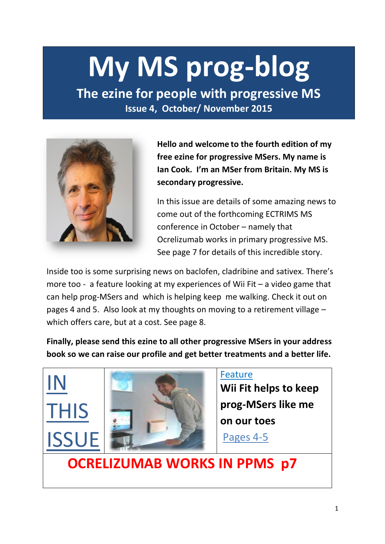# **My MS prog-blog**

**The ezine for people with progressive MS Issue 4, October/ November 2015** 



**Hello and welcome to the fourth edition of my free ezine for progressive MSers. My name is Ian Cook. I'm an MSer from Britain. My MS is secondary progressive.** 

In this issue are details of some amazing news to come out of the forthcoming ECTRIMS MS conference in October – namely that Ocrelizumab works in primary progressive MS. See page 7 for details of this incredible story.

Inside too is some surprising news on baclofen, cladribine and sativex. There's more too - a feature looking at my experiences of Wii Fit – a video game that can help prog-MSers and which is helping keep me walking. Check it out on pages 4 and 5. Also look at my thoughts on moving to a retirement village – which offers care, but at a cost. See page 8.

**Finally, please send this ezine to all other progressive MSers in your address book so we can raise our profile and get better treatments and a better life.**

# IN THIS **ISSUE**



### Feature

**Wii Fit helps to keep prog-MSers like me on our toes**

Pages 4-5

 **OCRELIZUMAB WORKS IN PPMS p7**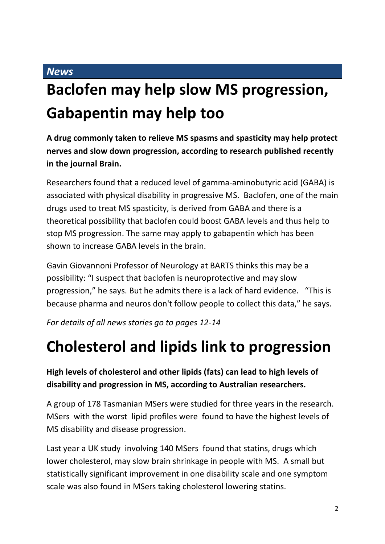### *News*

### **Baclofen may help slow MS progression, Gabapentin may help too**

**A drug commonly taken to relieve MS spasms and spasticity may help protect nerves and slow down progression, according to research published recently in the journal Brain.**

Researchers found that a reduced level of gamma-aminobutyric acid (GABA) is associated with physical disability in progressive MS. Baclofen, one of the main drugs used to treat MS spasticity, is derived from GABA and there is a theoretical possibility that baclofen could boost GABA levels and thus help to stop MS progression. The same may apply to gabapentin which has been shown to increase GABA levels in the brain.

Gavin Giovannoni Professor of Neurology at BARTS thinks this may be a possibility: "I suspect that baclofen is neuroprotective and may slow progression," he says. But he admits there is a lack of hard evidence. "This is because pharma and neuros don't follow people to collect this data," he says.

*For details of all news stories go to pages 12-14*

### **Cholesterol and lipids link to progression**

**High levels of cholesterol and other lipids (fats) can lead to high levels of disability and progression in MS, according to Australian researchers.** 

A group of 178 Tasmanian MSers were studied for three years in the research. MSers with the worst lipid profiles were found to have the highest levels of MS disability and disease progression.

Last year a UK study involving 140 MSers found that statins, drugs which lower cholesterol, may slow brain shrinkage in people with MS. A small but statistically significant improvement in one disability scale and one symptom scale was also found in MSers taking cholesterol lowering statins.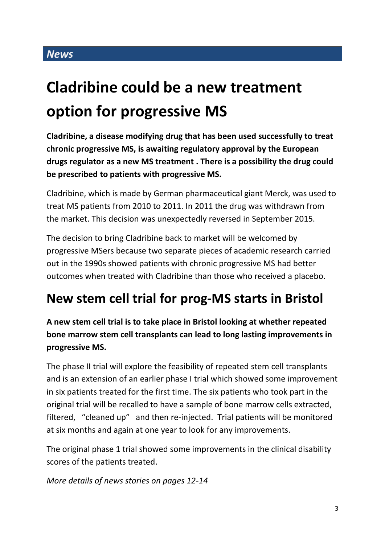### *News*

### **Cladribine could be a new treatment option for progressive MS**

**Cladribine, a disease modifying drug that has been used successfully to treat chronic progressive MS, is awaiting regulatory approval by the European drugs regulator as a new MS treatment . There is a possibility the drug could be prescribed to patients with progressive MS.**

Cladribine, which is made by German pharmaceutical giant Merck, was used to treat MS patients from 2010 to 2011. In 2011 the drug was withdrawn from the market. This decision was unexpectedly reversed in September 2015.

The decision to bring Cladribine back to market will be welcomed by progressive MSers because two separate pieces of academic research carried out in the 1990s showed patients with chronic progressive MS had better outcomes when treated with Cladribine than those who received a placebo.

### **New stem cell trial for prog-MS starts in Bristol**

**A new stem cell trial is to take place in Bristol looking at whether repeated bone marrow stem cell transplants can lead to long lasting improvements in progressive MS.** 

The phase II trial will explore the feasibility of repeated stem cell transplants and is an extension of an earlier phase I trial which showed some improvement in six patients treated for the first time. The six patients who took part in the original trial will be recalled to have a sample of bone marrow cells extracted, filtered, "cleaned up" and then re-injected. Trial patients will be monitored at six months and again at one year to look for any improvements.

The original phase 1 trial showed some improvements in the clinical disability scores of the patients treated.

*More details of news stories on pages 12-14*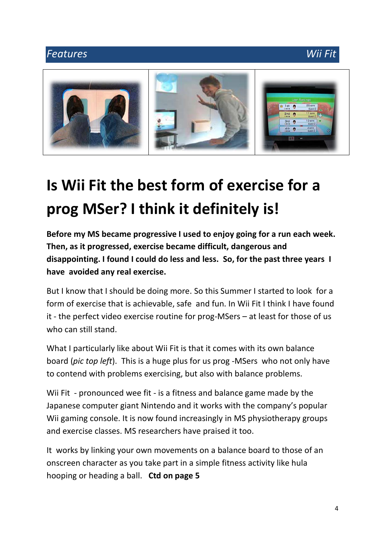### *Features Wii Fit*



## **Is Wii Fit the best form of exercise for a prog MSer? I think it definitely is!**

**Before my MS became progressive I used to enjoy going for a run each week. Then, as it progressed, exercise became difficult, dangerous and disappointing. I found I could do less and less. So, for the past three years I have avoided any real exercise.**

But I know that I should be doing more. So this Summer I started to look for a form of exercise that is achievable, safe and fun. In Wii Fit I think I have found it - the perfect video exercise routine for prog-MSers – at least for those of us who can still stand.

What I particularly like about Wii Fit is that it comes with its own balance board (*pic top left*). This is a huge plus for us prog -MSers who not only have to contend with problems exercising, but also with balance problems.

Wii Fit - pronounced wee fit - is a fitness and balance game made by the Japanese computer giant Nintendo and it works with the company's popular Wii gaming console. It is now found increasingly in MS physiotherapy groups and exercise classes. MS researchers have praised it too.

It works by linking your own movements on a balance board to those of an onscreen character as you take part in a simple fitness activity like hula hooping or heading a ball. **Ctd on page 5**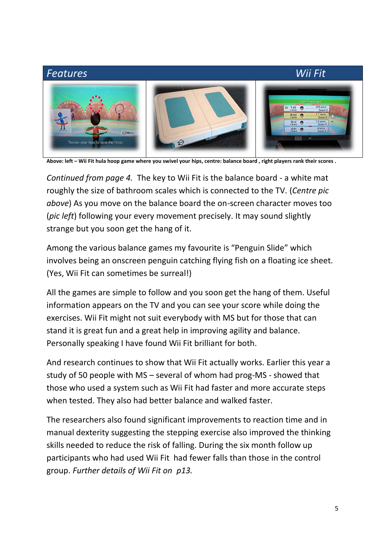## *Features Wii Fit* 1st 6 OM to colo the home

**Above: left – Wii Fit hula hoop game where you swivel your hips, centre: balance board , right players rank their scores .**

*Continued from page 4.* The key to Wii Fit is the balance board - a white mat roughly the size of bathroom scales which is connected to the TV. (*Centre pic above*) As you move on the balance board the on-screen character moves too (*pic left*) following your every movement precisely. It may sound slightly strange but you soon get the hang of it.

Among the various balance games my favourite is "Penguin Slide" which involves being an onscreen penguin catching flying fish on a floating ice sheet. (Yes, Wii Fit can sometimes be surreal!)

All the games are simple to follow and you soon get the hang of them. Useful information appears on the TV and you can see your score while doing the exercises. Wii Fit might not suit everybody with MS but for those that can stand it is great fun and a great help in improving agility and balance. Personally speaking I have found Wii Fit brilliant for both.

And research continues to show that Wii Fit actually works. Earlier this year a study of 50 people with MS – several of whom had prog-MS - showed that those who used a system such as Wii Fit had faster and more accurate steps when tested. They also had better balance and walked faster.

The researchers also found significant improvements to reaction time and in manual dexterity suggesting the stepping exercise also improved the thinking skills needed to reduce the risk of falling. During the six month follow up participants who had used Wii Fit had fewer falls than those in the control group. *Further details of Wii Fit on p13.*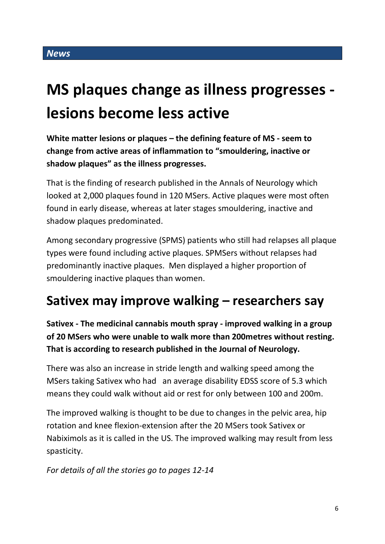### **MS plaques change as illness progresses lesions become less active**

**White matter lesions or plaques – the defining feature of MS - seem to change from active areas of inflammation to "smouldering, inactive or shadow plaques" as the illness progresses.**

That is the finding of research published in the Annals of Neurology which looked at 2,000 plaques found in 120 MSers. Active plaques were most often found in early disease, whereas at later stages smouldering, inactive and shadow plaques predominated.

Among secondary progressive (SPMS) patients who still had relapses all plaque types were found including active plaques. SPMSers without relapses had predominantly inactive plaques. Men displayed a higher proportion of smouldering inactive plaques than women.

### **Sativex may improve walking – researchers say**

**Sativex - The medicinal cannabis mouth spray - improved walking in a group of 20 MSers who were unable to walk more than 200metres without resting. That is according to research published in the Journal of Neurology.**

There was also an increase in stride length and walking speed among the MSers taking Sativex who had an average disability EDSS score of 5.3 which means they could walk without aid or rest for only between 100 and 200m.

The improved walking is thought to be due to changes in the pelvic area, hip rotation and knee flexion-extension after the 20 MSers took Sativex or Nabiximols as it is called in the US. The improved walking may result from less spasticity.

*For details of all the stories go to pages 12-14*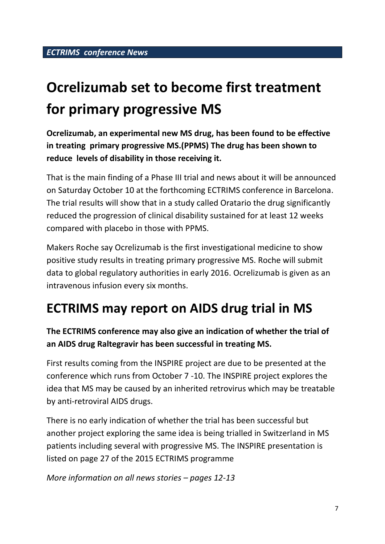### **Ocrelizumab set to become first treatment for primary progressive MS**

**Ocrelizumab, an experimental new MS drug, has been found to be effective in treating primary progressive MS.(PPMS) The drug has been shown to reduce levels of disability in those receiving it.**

That is the main finding of a Phase III trial and news about it will be announced on Saturday October 10 at the forthcoming ECTRIMS conference in Barcelona. The trial results will show that in a study called Oratario the drug significantly reduced the progression of clinical disability sustained for at least 12 weeks compared with placebo in those with PPMS.

Makers Roche say Ocrelizumab is the first investigational medicine to show positive study results in treating primary progressive MS. Roche will submit data to global regulatory authorities in early 2016. Ocrelizumab is given as an intravenous infusion every six months.

### **ECTRIMS may report on AIDS drug trial in MS**

### **The ECTRIMS conference may also give an indication of whether the trial of an AIDS drug Raltegravir has been successful in treating MS.**

First results coming from the INSPIRE project are due to be presented at the conference which runs from October 7 -10. The INSPIRE project explores the idea that MS may be caused by an inherited retrovirus which may be treatable by anti-retroviral AIDS drugs.

There is no early indication of whether the trial has been successful but another project exploring the same idea is being trialled in Switzerland in MS patients including several with progressive MS. The INSPIRE presentation is listed on page 27 of the 2015 ECTRIMS programme

*More information on all news stories – pages 12-13*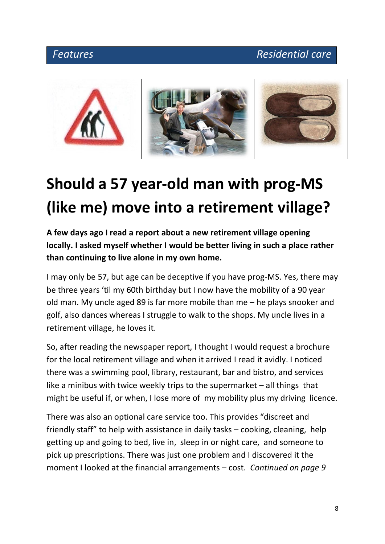

## **Should a 57 year-old man with prog-MS (like me) move into a retirement village?**

**A few days ago I read a report about a new retirement village opening locally. I asked myself whether I would be better living in such a place rather than continuing to live alone in my own home.**

I may only be 57, but age can be deceptive if you have prog-MS. Yes, there may be three years 'til my 60th birthday but I now have the mobility of a 90 year old man. My uncle aged 89 is far more mobile than me – he plays snooker and golf, also dances whereas I struggle to walk to the shops. My uncle lives in a retirement village, he loves it.

So, after reading the newspaper report, I thought I would request a brochure for the local retirement village and when it arrived I read it avidly. I noticed there was a swimming pool, library, restaurant, bar and bistro, and services like a minibus with twice weekly trips to the supermarket – all things that might be useful if, or when, I lose more of my mobility plus my driving licence.

There was also an optional care service too. This provides "discreet and friendly staff" to help with assistance in daily tasks – cooking, cleaning, help getting up and going to bed, live in, sleep in or night care, and someone to pick up prescriptions. There was just one problem and I discovered it the moment I looked at the financial arrangements – cost. *Continued on page 9*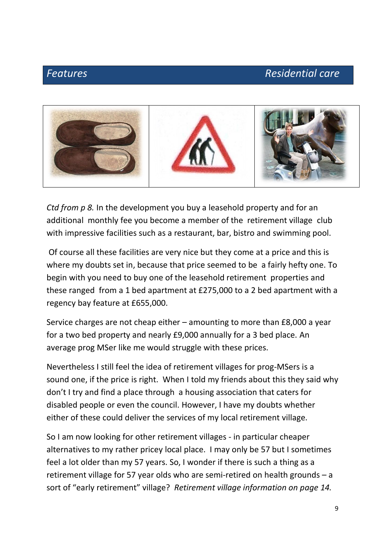### *Features* Residential care



*Ctd from p 8.* In the development you buy a leasehold property and for an additional monthly fee you become a member of the retirement village club with impressive facilities such as a restaurant, bar, bistro and swimming pool.

Of course all these facilities are very nice but they come at a price and this is where my doubts set in, because that price seemed to be a fairly hefty one. To begin with you need to buy one of the leasehold retirement properties and these ranged from a 1 bed apartment at £275,000 to a 2 bed apartment with a regency bay feature at £655,000.

Service charges are not cheap either – amounting to more than £8,000 a year for a two bed property and nearly £9,000 annually for a 3 bed place. An average prog MSer like me would struggle with these prices.

Nevertheless I still feel the idea of retirement villages for prog-MSers is a sound one, if the price is right. When I told my friends about this they said why don't I try and find a place through a housing association that caters for disabled people or even the council. However, I have my doubts whether either of these could deliver the services of my local retirement village.

So I am now looking for other retirement villages - in particular cheaper alternatives to my rather pricey local place. I may only be 57 but I sometimes feel a lot older than my 57 years. So, I wonder if there is such a thing as a retirement village for 57 year olds who are semi-retired on health grounds – a sort of "early retirement" village? *Retirement village information on page 14.*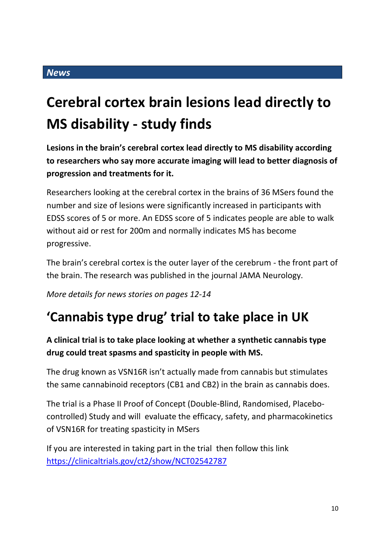#### *News*

### **Cerebral cortex brain lesions lead directly to MS disability - study finds**

**Lesions in the brain's cerebral cortex lead directly to MS disability according to researchers who say more accurate imaging will lead to better diagnosis of progression and treatments for it.**

Researchers looking at the cerebral cortex in the brains of 36 MSers found the number and size of lesions were significantly increased in participants with EDSS scores of 5 or more. An EDSS score of 5 indicates people are able to walk without aid or rest for 200m and normally indicates MS has become progressive.

The brain's cerebral cortex is the outer layer of the cerebrum - the front part of the brain. The research was published in the journal JAMA Neurology.

*More details for news stories on pages 12-14*

### **'Cannabis type drug' trial to take place in UK**

**A clinical trial is to take place looking at whether a synthetic cannabis type drug could treat spasms and spasticity in people with MS.**

The drug known as VSN16R isn't actually made from cannabis but stimulates the same cannabinoid receptors (CB1 and CB2) in the brain as cannabis does.

The trial is a Phase II Proof of Concept (Double-Blind, Randomised, Placebocontrolled) Study and will evaluate the efficacy, safety, and pharmacokinetics of VSN16R for treating spasticity in MSers

If you are interested in taking part in the trial then follow this link <https://clinicaltrials.gov/ct2/show/NCT02542787>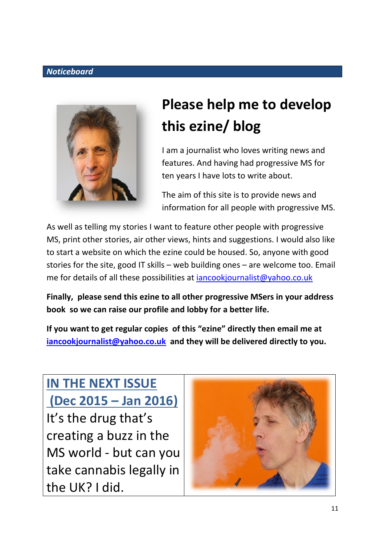#### *Noticeboard*



### **Please help me to develop this ezine/ blog**

I am a journalist who loves writing news and features. And having had progressive MS for ten years I have lots to write about.

The aim of this site is to provide news and information for all people with progressive MS.

As well as telling my stories I want to feature other people with progressive MS, print other stories, air other views, hints and suggestions. I would also like to start a website on which the ezine could be housed. So, anyone with good stories for the site, good IT skills – web building ones – are welcome too. Email me for details of all these possibilities at [iancookjournalist@yahoo.co.uk](mailto:iancookjournalist@yahoo.co.uk)

**Finally, please send this ezine to all other progressive MSers in your address book so we can raise our profile and lobby for a better life.**

**If you want to get regular copies of this "ezine" directly then email me at [iancookjournalist@yahoo.co.uk](mailto:iancookjournalist@yahoo.co.uk) and they will be delivered directly to you.**

**IN THE NEXT ISSUE (Dec 2015 – Jan 2016)** It's the drug that's creating a buzz in the MS world - but can you take cannabis legally in the UK? I did.

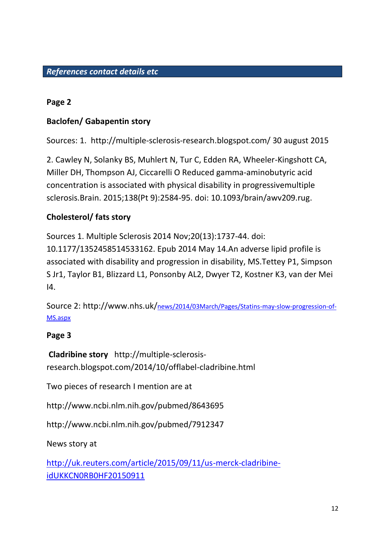#### **Page 2**

### **Baclofen/ Gabapentin story**

Sources: 1. http://multiple-sclerosis-research.blogspot.com/ 30 august 2015

2. Cawley N, Solanky BS, Muhlert N, Tur C, Edden RA, Wheeler-Kingshott CA, Miller DH, Thompson AJ, Ciccarelli O Reduced gamma-aminobutyric acid concentration is associated with physical disability in progressivemultiple sclerosis.Brain. 2015;138(Pt 9):2584-95. doi: 10.1093/brain/awv209.rug.

### **Cholesterol/ fats story**

Sources 1. Multiple Sclerosis 2014 Nov;20(13):1737-44. doi: 10.1177/1352458514533162. Epub 2014 May 14.An adverse lipid profile is associated with disability and progression in disability, MS.Tettey P1, Simpson S Jr1, Taylor B1, Blizzard L1, Ponsonby AL2, Dwyer T2, Kostner K3, van der Mei I4.

Source 2: http://www.nhs.uk/news/2014/03March/Pages/Statins-may-slow-progression-of-MS.aspx

### **Page 3**

**Cladribine story** http://multiple-sclerosisresearch.blogspot.com/2014/10/offlabel-cladribine.html

Two pieces of research I mention are at

http://www.ncbi.nlm.nih.gov/pubmed/8643695

http://www.ncbi.nlm.nih.gov/pubmed/7912347

News story at

[http://uk.reuters.com/article/2015/09/11/us-merck-cladribine](http://uk.reuters.com/article/2015/09/11/us-merck-cladribine-idUKKCN0RB0HF20150911)[idUKKCN0RB0HF20150911](http://uk.reuters.com/article/2015/09/11/us-merck-cladribine-idUKKCN0RB0HF20150911)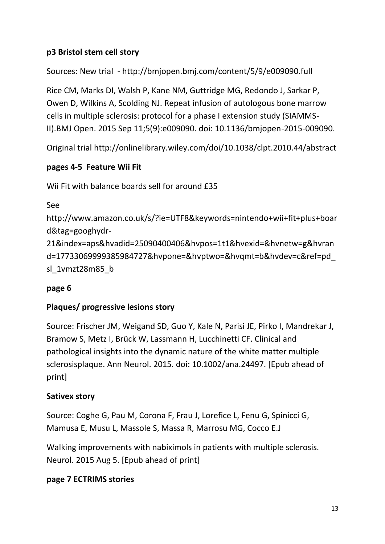### **p3 Bristol stem cell story**

Sources: New trial - http://bmjopen.bmj.com/content/5/9/e009090.full

Rice CM, Marks DI, Walsh P, Kane NM, Guttridge MG, Redondo J, Sarkar P, Owen D, Wilkins A, Scolding NJ. Repeat infusion of autologous bone marrow cells in multiple sclerosis: protocol for a phase I extension study (SIAMMS-II).BMJ Open. 2015 Sep 11;5(9):e009090. doi: 10.1136/bmjopen-2015-009090.

Original trial http://onlinelibrary.wiley.com/doi/10.1038/clpt.2010.44/abstract

### **pages 4-5 Feature Wii Fit**

Wii Fit with balance boards sell for around £35

```
See
```
http://www.amazon.co.uk/s/?ie=UTF8&keywords=nintendo+wii+fit+plus+boar d&tag=googhydr-21&index=aps&hvadid=25090400406&hvpos=1t1&hvexid=&hvnetw=g&hvran d=17733069999385984727&hvpone=&hvptwo=&hvqmt=b&hvdev=c&ref=pd\_ sl\_1vmzt28m85\_b

### **page 6**

### **Plaques/ progressive lesions story**

Source: Frischer JM, Weigand SD, Guo Y, Kale N, Parisi JE, Pirko I, Mandrekar J, Bramow S, Metz I, Brück W, Lassmann H, Lucchinetti CF. Clinical and pathological insights into the dynamic nature of the white matter multiple sclerosisplaque. Ann Neurol. 2015. doi: 10.1002/ana.24497. [Epub ahead of print]

### **Sativex story**

Source: Coghe G, Pau M, Corona F, Frau J, Lorefice L, Fenu G, Spinicci G, Mamusa E, Musu L, Massole S, Massa R, Marrosu MG, Cocco E.J

Walking improvements with nabiximols in patients with multiple sclerosis. Neurol. 2015 Aug 5. [Epub ahead of print]

### **page 7 ECTRIMS stories**